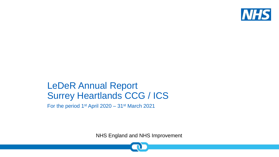

## LeDeR Annual Report Surrey Heartlands CCG / ICS

For the period 1st April 2020 – 31st March 2021

NHS England and NHS Improvement

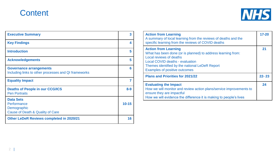### **Content**



| <b>Executive Summary</b>                                                               | 3         |
|----------------------------------------------------------------------------------------|-----------|
| <b>Key Findings</b>                                                                    | 4         |
| <b>Introduction</b>                                                                    | 5         |
| <b>Acknowledgements</b>                                                                | 5         |
| <b>Governance arrangements</b><br>Including links to other processes and QI frameworks | 6         |
| <b>Equality Impact</b>                                                                 | 7         |
| <b>Deaths of People in our CCG/ICS</b><br><b>Pen Portraits</b>                         | $8 - 9$   |
| <b>Data Sets</b><br>Performance<br>Demographic<br>Cause of Death & Quality of Care     | $10 - 15$ |
| <b>Other LeDeR Reviews completed in 2020/21</b>                                        | 16        |

| <b>Action from Learning</b><br>A summary of local learning from the reviews of deaths and the<br>specific learning from the reviews of COVID deaths                                                                                                        | $17 - 20$ |
|------------------------------------------------------------------------------------------------------------------------------------------------------------------------------------------------------------------------------------------------------------|-----------|
| <b>Action from Learning</b><br>What has been done (or is planned) to address learning from:<br>Local reviews of deaths<br><b>Local COVID deaths - evaluation</b><br>Themes identified by the national LeDeR Report<br><b>Examples of positive outcomes</b> | 21        |
| <b>Plans and Priorities for 2021/22</b>                                                                                                                                                                                                                    | $22 - 23$ |
| <b>Evaluating the Impact</b><br>How we will monitor and review action plans/service improvements to<br>ensure they are impactful<br>How we will evidence the difference it is making to people's lives                                                     | 24        |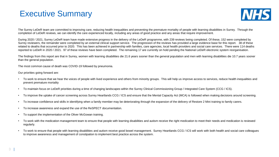### Executive Summary



The Surrey LeDeR team are committed to improving care, reducing health inequalities and preventing the premature mortality of people with learning disabilities in Surrey. Through the completion of LeDeR reviews, we can identify the care experienced locally, including any areas of good practice and any areas that require improvement.

During 2020 / 2021, Surrey LeDeR team have made extensive progress in the delivery of the LeDeR programme, with 239 reviews being completed. Of these, 152 were completed by Surrey reviewers, the remainder were completed by an external clinical support service. The progression of the reviews has provided a large evidence base for this report. 38 of these related to deaths that occurred prior to 2020. This has been achieved in partnership with families, care agencies, local health providers and social care services. There were 114 deaths reported to LeDeR in 2020 / 2021. 97 of these reviews have been completed. The remaining 17 are currently on hold pending the National LeDeR electronic system reorganisation.

The findings from this report are that in Surrey, women with learning disabilities die 21.6 years sooner than the general population and men with learning disabilities die 10.7 years sooner than the general population.

The most common cause of death was COVID-19 followed by pneumonia.

Our priorities going forward are:

- To work to ensure that we hear the voices of people with lived experience and others from minority groups. This will help us improve access to services, reduce health inequalities and prevent premature mortality
- To maintain focus on LeDeR priorities during a time of changing landscapes within the Surrey Clinical Commissioning Group / Integrated Care System (CCG / ICS).
- To improve the uptake of cancer screening across Surrey Heartlands CCG / ICS and ensure that the Mental Capacity Act (MCA) is followed when making decisions around screening.
- To increase confidence and skills in identifying when a family member may be deteriorating through the expansion of the delivery of Restore 2 Mini training to family carers.
- To increase awareness and expand the use of the ReSPECT documentation.
- To support the implementation of the Oliver McGowan training.
- To work with the medication management team to ensure that people with learning disabilities and autism receive the right medication to meet their needs and medication is reviewed regularly.
- To work to ensure that people with learning disabilities and autism receive good bowel management. Surrey Heartlands CCG / ICS will work with both health and social care colleagues to improve awareness and management of constipation to implement best practice across the system.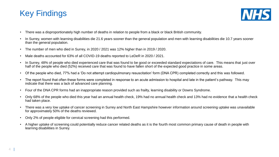



- There was a disproportionately high number of deaths in relation to people from a black or black British community.
- In Surrey, women with learning disabilities die 21.6 years sooner than the general population and men with learning disabilities die 10.7 years sooner than the general population.
- The number of men who died in Surrey, in 2020 / 2021 was 12% higher than in 2019 / 2020.
- Male deaths accounted for 63% of all COVID-19 deaths reported to LeDeR in 2020 / 2021.
- In Surrey, 48% of people who died experienced care that was found to be good or exceeded standard expectations of care. This means that just over half of the people who died (52%) received care that was found to have fallen short of the expected good practice in some areas.
- Of the people who died, 77% had a 'Do not attempt cardiopulmonary resuscitation' form (DNA CPR) completed correctly and this was followed.
- The report found that often these forms were completed in response to an acute admission to hospital and late in the patient's pathway. This may indicate that there was a lack of advanced care planning.
- Four of the DNA CPR forms had an inappropriate reason provided such as frailty, learning disability or Downs Syndrome.
- Only 68% of the people who died this year had an annual health check, 19% had no annual health check and 13% had no evidence that a health check had taken place.
- There was a very low uptake of cancer screening in Surrey and North East Hampshire however information around screening uptake was unavailable for approximately 50% of the deaths reviewed.
- Only 2% of people eligible for cervical screening had this performed.
- A higher uptake of screening could potentially reduce cancer related deaths as it is the fourth most common primary cause of death in people with learning disabilities in Surrey.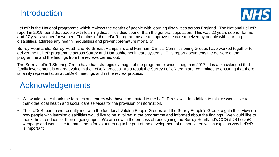



LeDeR is the National programme which reviews the deaths of people with learning disabilities across England. The National LeDeR report in 2019 found that people with learning disabilities died sooner than the general population. This was 22 years sooner for men and 27 years sooner for women. The aims of the LeDeR programme are to improve the care received by people with learning disabilities, address any health inequalities and prevent premature mortality.

Surrey Heartlands, Surrey Heath and North East Hampshire and Farnham Clinical Commissioning Groups have worked together to deliver the LeDeR programme across Surrey and Hampshire healthcare systems. This report documents the delivery of the programme and the findings from the reviews carried out.

The Surrey LeDeR Steering Group have had strategic oversight of the programme since it began in 2017. It is acknowledged that family involvement is of great value in the LeDeR process. As a result the Surrey LeDeR team are committed to ensuring that there is family representation at LeDeR meetings and in the review process.

### Acknowledgements

- We would like to thank the families and carers who have contributed to the LeDeR reviews. In addition to this we would like to thank the local health and social care services for the provision of information.
- The LeDeR team have recently met with the four local Valuing People Groups and the Surrey People's Group to gain their view on how people with learning disabilities would like to be involved in the programme and informed about the findings. We would like to thank the attendees for their ongoing input. We are now in the process of redesigning the Surrey Heartland's CCG /ICS LeDeR webpage and would like to thank them for volunteering to be part of the development of a short video which explains why LeDeR is important.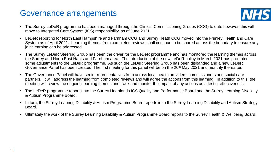### Governance arrangements



- The Surrey LeDeR programme has been managed through the Clinical Commissioning Groups (CCG) to date however, this will move to Integrated Care System (ICS) responsibility, as of June 2021.
- LeDeR reporting for North East Hampshire and Farnham CCG and Surrey Heath CCG moved into the Frimley Health and Care System as of April 2021. Learning themes from completed reviews shall continue to be shared across the boundary to ensure any joint learning can be addressed.
- The Surrey LeDeR Steering Group has been the driver for the LeDeR programme and has monitored the learning themes across the Surrey and North East Hants and Farnham area. The introduction of the new LeDeR policy in March 2021 has prompted some adjustments to the LeDeR programme. As such the LeDeR Steering Group has been disbanded and a new LeDeR Governance Panel has been created. The first meeting for this panel will be on the 26<sup>th</sup> May 2021 and monthly thereafter.
- The Governance Panel will have senior representatives from across local health providers, commissioners and social care partners. It will address the learning from completed reviews and will agree the actions from this learning. In addition to this, the meeting will review the ongoing learning themes and track and monitor the impact of any actions as a test of effectiveness.
- The LeDeR programme reports into the Surrey Heartlands ICS Quality and Performance Board and the Surrey Learning Disability & Autism Programme Board.
- In turn, the Surrey Learning Disability & Autism Programme Board reports in to the Surrey Learning Disability and Autism Strategy Board.
- Ultimately the work of the Surrey Learning Disability & Autism Programme Board reports to the Surrey Health & Wellbeing Board.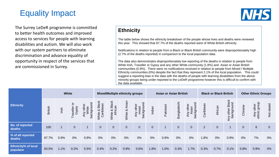### Equality Impact

The Surrey LeDeR programme is committed to better health outcomes and improved access to services for people with learning disabilities and autism. We will also work with our system partners to eliminate discrimination and advance equality of opportunity in respect of the services that are commissioned in Surrey.



#### **Ethnicity**

The table below shows the ethnicity breakdown of the people whose lives and deaths were reviewed this year. This showed that 87.7% of the deaths reported were of White British ethnicity.

Notifications in relation to people from a Black or Black British community were disproportionately high (2.7% of the deaths reported) in comparison to the local population data.

The data also demonstrates disproportionately low reporting of the deaths in relation to people from White Irish, Traveller or Gypsy and any other White community (1.8%) and Asian or Asian British communities (0.9%). There were no notifications received in relation to people from Mixed / Multiple Ethnicity communities (0%) despite the fact that they represent 2.1% of the local population. This could suggest a reporting bias in the data with the deaths of people with learning disabilities from the above minority groups being under-reported to the LeDeR programme however this is difficult to confirm with the data available.

|                                        | <b>White</b>   |                         |                         | <b>Mixed/Multiple ethnicity groups</b>              |                                                                      |                                                 | <b>Asian or Asian British</b> |                                                |              | <b>Black or Black British</b> |                |                                               | <b>Other Ethnic Groups</b> |                |                                                      |                |                           |             |
|----------------------------------------|----------------|-------------------------|-------------------------|-----------------------------------------------------|----------------------------------------------------------------------|-------------------------------------------------|-------------------------------|------------------------------------------------|--------------|-------------------------------|----------------|-----------------------------------------------|----------------------------|----------------|------------------------------------------------------|----------------|---------------------------|-------------|
| <b>Ethnicity</b>                       | <b>British</b> | Irish                   | ŏ<br>Traveller<br>Gypsy | <u>5</u><br>other<br>backgrour<br>Any ours<br>White | ack<br>ean<br>$\ddot{\overline{\mathbf{a}}}$<br>White & I<br>Caribbe | Black<br>$\overline{a}$<br>Africa<br>య<br>White | Asian<br>ళ<br>White           | background<br>other<br><b>PS</b><br>mix<br>Any | Indian       | akistani<br>௳                 | Bangladeshi    | ickground<br>vother<br>sian<br>Any<br>40<br>Ř | Caribbean                  | African        | other Black<br>Any other <b>Direct</b><br>background | Chinese        | Any other<br>ethnic group | Not stated  |
| No. of reported<br>deaths              | 100            | $\overline{\mathbf{1}}$ | $\overline{0}$          |                                                     | $\overline{0}$                                                       | $\overline{0}$                                  | $\overline{0}$                | $\overline{0}$                                 | $\mathbf{0}$ | $\mathbf 1$                   | $\overline{0}$ | $\mathbf{0}$                                  | 2 <sup>1</sup>             | $\overline{0}$ |                                                      | $\overline{0}$ | 8                         | $\mathbf 0$ |
| % of all reported<br>deaths            | 87.7%          | 0.9%                    | 0%                      | 0.9%                                                | 0%                                                                   | 0%                                              | $0\%$                         | $0\%$                                          | 0%           | 0.9%                          | 0%             | 0%                                            | 1.8%                       | 0%             | 0.9%                                                 | 0%             | 7%                        | $0\%$       |
| <b>Ethnicity% of local</b><br>populace | 83.5%          | 1.1%                    | 0.2%                    | 5.5%                                                | 0.4%                                                                 | 0.2%                                            | 0.9%                          | 0.6%                                           | 1.8%         | 1.0%                          | 0.3%           | 1.7%                                          | 0.3%                       | 0.7%           | 0.1%                                                 | 0.8%           | 0.9%                      | 0%          |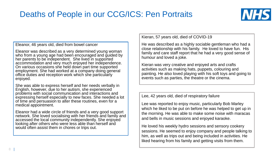## Deaths of People in our CCG/ICS: Pen Portraits



Eleanor, 46 years old, died from bowel cancer

Eleanor was described as a very determined young woman who from a young age had been encouraged and guided by her parents to be independent. She lived in supported accommodation and very much enjoyed her independence. On various occasions she held down part time supported employment. She had worked at a company doing general office duties and reception work which she particularly enjoyed.

She was able to express herself and her needs verbally in English, however, due to her autism, she experienced problems with social communication and interactions and expressing herself especially to new faces. She needed a lot of time and persuasion to alter these routines, even for a medical appointment.

Eleanor had a wide circle of friends and a very good support network. She loved socialising with her friends and family and accessed the local community independently. She enjoyed looking after others who were less able than herself and would often assist them in chores or trips out.

Kieran, 57 years old, died of COVID-19

He was described as a highly sociable gentleman who had a close relationship with his family. He loved to have fun. His family and care staff report that he had a very good sense of humour and loved a joke.

Kieran was very creative and enjoyed arts and crafts activities such as making hats, puppets, colouring and painting. He also loved playing with his soft toys and going to events such as parties, the theatre or the cinema.

Lee, 42 years old, died of respiratory failure

Lee was reported to enjoy music, particularly Bob Marley which he liked to be put on before he was helped to get up in the morning. He was able to make some noise with maracas and bells in music sessions and enjoyed karaoke.

He loved his weekly hydro sessions and sensory cookery sessions. He seemed to enjoy company and people talking to him, as well as trips out and being included in activities. He liked hearing from his family and getting visits from them.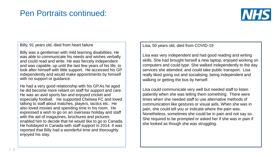### Pen Portraits continued:



#### Billy, 91 years old, died from heart failure

Billy was a gentleman with mild learning disabilities. He was able to communicate his needs and wishes verbally and could read and write. He was fiercely independent and was capable, up until the last few years of his life, to look after himself with little support. He accessed his GP independently and would make appointments by himself with no support or guidance.

He had a very good relationship with his GP.As he aged he did become more reliant on staff for support and care. He was an avid sports fan and enjoyed cricket and especially football. He supported Chelsea FC and loved talking to staff about matches, players, tactics etc. He also loved movies and spending time in his room. He expressed a wish to go on an overseas holiday and staff with the aid of magazines, brochures and pictures enabled him to decide that he would like to go to Canada. He holidayed in Canada with staff support in 2014. It was reported that Billy had a wonderful time and thoroughly enjoyed his stay.

Lisa, 50 years old, died from COVID-19

Lisa was very independent and had good reading and writing skills. She had brought herself a new laptop, enjoyed working on computers and could type. She walked independently to the day services she attended, and could take public transport. Lisa really liked going out and socialising, being independent and walking or getting the bus by herself.

Lisa could communicate very well but needed staff to listen patiently when she was telling them something. There were times when she needed staff to use alternative methods of communication like gestures or visual aids. When she was in pain, she could tell you or indicate where the pain was. Nonetheless, sometimes she could be in pain and not say so. She required to be prompted or asked her if she was in pain if she looked as though she was struggling.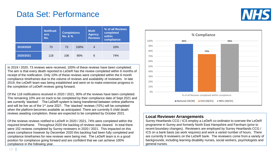### Data Set: Performance



|           | <b>Notificati</b><br><b>ons</b><br>No. | <b>Completions</b><br>No. & % |      | <b>Multi</b><br><b>Agency</b><br><b>Reviews</b> | % of all Reviews<br>completed<br>within<br>compliance: |
|-----------|----------------------------------------|-------------------------------|------|-------------------------------------------------|--------------------------------------------------------|
| 2019/2020 | 73                                     | 73                            | 100% | 4                                               | 10%                                                    |
| 2020/2021 | 118                                    | 106                           | 90%  | 6                                               | 74%                                                    |

In 2019 / 2020, 73 reviews were received, 100% of these reviews have been completed. The aim is that every death reported to LeDeR has the review completed within 6 months of receipt of the notification. Only 10% of these reviews were completed within the 6 month compliance timeframes due to the volume of reviews and availability of reviewers. In late 2019, the LeDeR team was being established and went on to make extensive progress in the completion of LeDeR reviews going forward.

Of the 118 notifications received in 2020 / 2021, 90% of the reviews have been completed. The remaining 10% are on track to be completed by their compliance date of Sept 2021 and are currently 'stacked'. The LeDeR system is being transferred between online platforms and will be live as of the 1<sup>st</sup> June 2021. The 'stacked' reviews (10%) will be completed when the platform becomes available as anticipated. There are currently 5 child death reviews awaiting completion, these are expected to be completed by October 2021.

Of the reviews reviews notified to LeDeR in 2020 / 2021, 74% were completed within the required timeframe. Throughout 2020 the backlog of reviews was cleared. In total there were 152 reviews completed by Surrey reviewers in 2020 / 2021. This impacted on this years compliance however by December 2020 this backlog had been fully completed and compliance timeframes for new reviews were being met. The LeDeR team is in a good position for compliance going forward and are confident that we can achieve 100% compliance in the following year.



#### **Local Reviewer Arrangements**

Surrey Heartlands CCG / ICS employ a LeDeR co-ordinator to oversee the LeDeR programme in Surrey and formerly North East Hampshire and Farnham (prior to recent boundary changes). Reviewers are employed by Surrey Heartlands CCG / ICS on a bank basis (as work requires) and work a varied number of hours. There are currently 9 reviewers on the LeDeR bank. The reviewers come from a variety of backgrounds, including learning disability nurses, social workers, psychologists and general nurses.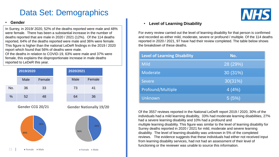### Data Set: Demographics



#### • **Gender** • **Level of Learning Disability**

For every review carried out the level of learning disability for that person is confirmed and recorded as either mild, moderate, severe or profound / multiple. Of the 114 deaths reported in 2020 / 2021, 97 have had their review completed. The table below shows the breakdown of these deaths.

| <b>Level of Learning Disability</b> | No.      |
|-------------------------------------|----------|
| <b>Mild</b>                         | 28 (29%) |
| Moderate                            | 30 (31%) |
| <b>Severe</b>                       | 30(31%)  |
| Profound/Multiple                   | 4(4%)    |
| <b>Unknown</b>                      | 5(5%)    |

Of the 3557 reviews reported in the National LeDeR report 2019 / 2020, 30% of the individuals had a mild learning disability, 33% had moderate learning disabilities, 27% had a severe learning disability and 10% had a profound and multiple learning disability. This figure was similar to the level of learning disability for Surrey deaths reported in 2020 / 2021 for mild, moderate and severe learning disability. The level of learning disability was unknown in 5% of the completed reviews. The evidence suggests that these individuals had either not received input from learning disability services, had not had an assessment of their level of functioning or the reviewer was unable to source this information.

In Surrey, in 2019/ 2020, 52% of the deaths reported were male and 48% were female. There has been a substantial increase in the number of deaths reported that are male in 2020 / 2021 (12%). Of the 114 deaths reported, 64% of the deaths reported were male and 36% were female. This figure is higher than the national LeDeR findings in the 2019 / 2020 report which found that 56% of deaths were male.

Of the deaths in relation to COVID-19, 63% were male and 37% were female, this explains the disproportionate increase in male deaths reported to LeDeR this year.

|      | 2019/2020             |                     | 2020/2021 |                                |
|------|-----------------------|---------------------|-----------|--------------------------------|
|      | Male                  | Female              | Male      | Female                         |
| No.  | 36                    | 33                  | 73        | 41                             |
| $\%$ | 52                    | 48                  | 64        | 36                             |
|      | Gender CCG 20/21      |                     |           | <b>Gender Nationally 19/20</b> |
|      | 64%                   | 36%                 | 56%       | 44%                            |
| 11   | $\blacksquare$ Female | $\blacksquare$ Male |           | <b>E</b> Female<br>Male        |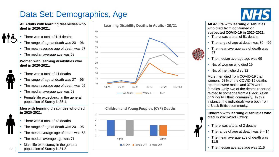## Data Set: Demographics, Age

**All Adults with learning disabilities who died in 2020-2021:**

- There was a total of 114 deaths
- The range of age at death was  $20 96$
- The mean average age of death was 67
- The median average age was 68

#### **Women with learning disabilities who died in 2020-2021:**

- There was a total of 41 deaths
- The range of age at death was  $27 96$
- The mean average age of death was 65
- The median average age was 63
- Female life expectancy in the general population of Surrey is 85.1.

#### **Men with learning disabilities who died in 2020-2021:**

- There was a total of 73 deaths
- The range of age at death was  $20 95$
- The mean average age of death was 68
- The median average age was 71
- Male life expectancy in the general population of Surrey is 81.8.





# **NHS**

**All Adults with learning disabilities who died from confirmed or suspected COVID-19 in 2020-2021:**

- There was a total of 51 deaths
- The range of age at death was  $30 96$
- The mean average age of death was 67
- The median average age was 69
- No. of women who died 19
- No. of men who died 32

More men died from COVID-19 than women. 63% of the COVID-19 deaths reported were males and 37% were females. Only two of the deaths reported related to someone from a Black, Asian or Minority Ethnic community. In this instance, the individuals were both from a Black British community.

**Children with learning disabilities who died in 2020-2021 (CYP):**

- There was a total of 2 deaths
- The range of age at death was  $9 14$
- The mean average age of death was 11.5
- The median average age was 11.5

 $12<sup>-12</sup>$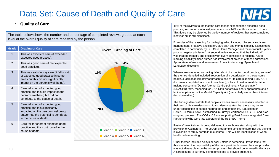## Data Set: Cause of Death and Quality of Care



#### • **Quality of Care**

The table below shows the number and percentage of completed reviews graded at each level of the overall quality of care received by the person.





48% of the reviews found that the care met or exceeded the expected good practice, in comparison to last year where only 14% met this standard of care. This figure may be distorted by the low number of reviews that were completed last year but is still significant.

Examples of the reasoning for the high grading included; 'Personalised care management, proactive anticipatory care plan and mental capacity assessment completed in community by GP, Care Home Manager and the individual 2 years prior to hospital admission'. A second review reported that the individual '… was treated promptly and efficiently on every admission to hospital. Acute learning disability liaison nurses had involvement on each of these admissions. Appropriate referrals and involvement from clinicians, e.g. Speech and Language, dieticians.'

Where care was rated as having fallen short of expected good practice, some of the themes identified included; recognition of a deterioration in the person's health, a lack of anticipatory approach to end of life care planning (ReSPECT document completed late or not completed), a lack of best interest decision making concerning 'Do not Attempt Cardio-pulmonary Resuscitation' (DNACPR) form, reasoning for DNA CPR not always clear / appropriate and a lack of application of the Mental Capacity Act (particularly around best interest decision making).

The findings demonstrate that people's wishes are not necessarily reflected in their end of life care decisions. It also demonstrates that there may be an under-recognition of people nearing the end of their life. Education on ReSPECT forms is well established in Surrey Heartlands CCG / ICS and is an on-going process. The CCG / ICS are supporting East Surrey Integrated Care Partnership who were late adopters of the ReSPECT forms.

Restore2 mini training is being delivered to care home staff along with the provision of Oximeters. The LeDeR programme aims to ensure that this training is available to family carers in due course. This will aid identification of when health is deteriorating.

Other themes included delays or poor uptake in screening. It was found that this was often the responsibility of the care provider, however the care provider was not always clear on the correct process that should be followed in this area. A carers guide is currently being developed to provide guidance.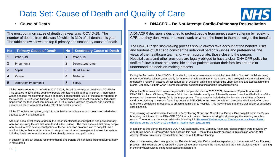### Data Set: Cause of Death and Quality of Care



The most common cause of death this year was COVID-19. The number of deaths from this was 30 which is 31% of all deaths this year. The table below shows the top 5 primary and secondary cause of death

| <b>No</b> | <b>Primary Cause of Death</b> | <b>No</b> | <b>Secondary Cause of Death</b> |
|-----------|-------------------------------|-----------|---------------------------------|
|           | COVID-19                      |           | COVID-19                        |
| 2         | Pneumonia                     | 2         | Downs syndrome                  |
| 3         | <b>Sepsis</b>                 | 3         | <b>Heart Failure</b>            |
| 4         | Cancer                        | 4         | <b>Diabetes</b>                 |
| 5         | <b>Aspiration Pneumonia</b>   | 5         | <b>Sepsis</b>                   |

Of the deaths reported to LeDeR in 2020 / 2021, the primary cause of death was COVID-19. This equates to 31% of the deaths of people with learning disabilities in Surrey. Pneumonia was the second most common cause of death, it accounted for 23% of the deaths reported. In the National LeDeR report findings in 2019, pneumonia was the most commonly cited cause. Sepsis was the third most common cause in 8% of cases followed by cancer and aspiration pneumonia which were both cited in 7% of the deaths reported.

Of the 97 reviews completed, only 18 cases had a secondary cause of deaths recorded which equates to very small numbers.

Although not a direct cause of death, the report identified that constipation and polypharmacy were two recurring factors that were found in the reviews. The reviews found that many people were found to have severe constipation or faecal impaction on admission to hospital. As a result of this, further work is required to support constipation management across the system including health services and education to family member and paid carers.

In addition to this, an audit is recommended to understand the concerns around polypharmacy in more detail.

#### • **Cause of Death** • **DNACPR – Do Not Attempt Cardio-Pulmonary Resuscitation**

A DNACPR decision is designed to protect people from unnecessary suffering by receiving CPR that they don't want, that won't work or where the harm to them outweighs the benefits

The DNACPR decision-making process should always take account of the benefits, risks and burdens of CPR and consider the individual person's wishes and preferences, the views of the healthcare team and, when appropriate, those close to the person. Hospital trusts and other providers are legally obliged to have a clear DNA CPR policy for staff to follow. It must be accessible so that patients and/or their families are able to understand the decision-making process.

During the first wave of the COVID-19 pandemic, concerns were raised about the potential for "blanket" decisions being made around resuscitation, particularly for more vulnerable populations. As a result, the Care Quality Commission (CQC) undertook a review of practice across a number of systems, taking into account the understanding and application of the Mental Capacity Act both when it comes to clinical decision making and the individual's views.

Out of the 97 reviews which were completed for people who died in 2020 / 2021, there were 82 people who had a DNACPR in place. Of these, 77% were felt to be completed correctly and followed however it was identified in four of the reviews that the reasoning was felt to be inappropriate. These reasons included frailty, learning disabilities or Down's syndrome. Although the report found high levels of DNA CPR forms being completed correctly and followed, often these forms were completed in response to an acute admission to hospital. This may indicate that there was a lack of advanced care planning.

This learning was addressed at the local LeDeR Steering Group and Operational Groups. One hospital within the Surrey boundary participated in the DNA CPR CQC thematic review. We are working locally to apply the learning from this [report. The report can be accessed via the following link: Review of Do Not Attempt Cardiopulmonary Resuscitation](https://www.cqc.org.uk/sites/default/files/20201204%20DNACPR%20Interim%20Report%20-%20FINAL.pdf)  decisions during the COVID-19 pandemic: Interim report (cqc.org.uk)

In addition to this Surrey Heartlands CCG / ICS facilitated Mental Capacity Act master classes which were provided by Alex Rucks Keen, a Barrister who specialises in this field. One of the subjects covered in this session was 'Do Not Attempt Cardio-Pulmonary Resuscitation' and End of Life Care Planning.

One of the reviews, which was graded as 'Excellent care', identified a positive experience of the Advanced Care Planning process. This example demonstrated a close collaboration between the individual and the multi-disciplinary team resulting in the individuals wishes being respected and adhered to.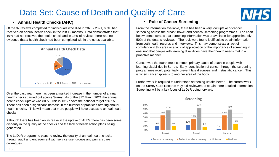### Data Set: Cause of Death and Quality of Care



Of the 97 reviews completed for individuals who died in 2020 / 2021, 68% had received an annual health check in the last 12 months. Data demonstrates that 19% had not received the health check and in 13% of reviews there was no evidence that a health check had been completed within the notes available.



Over the past year there has been a marked increase in the number of annual health checks carried out across Surrey. As of the 31st March 2021 the annual health check uptake was 80%. This is 13% above the national target of 67%. There has been a significant increase in the number of practices offering annual health checks. This will mean that more people will have access to annual health checks.

Although there has been an increase in the uptake of AHCs there has been some disparity in the quality of the checks and the lack of health action plans being generated.

The LeDeR programme plans to review the quality of annual health checks through audit and engagement with service user groups and primary care colleagues.

#### • **Annual Health Checks (AHC)** • **Role of Cancer Screening**

From the information available, there has been a very low uptake of cancer screening across the breast, bowel and cervical screening programmes. The chart below demonstrates that screening information was unavailable for approximately 50% of the deaths reviewed. The reviewers found it difficult to obtain information from both health records and interviews. This may demonstrate a lack of confidence in this area or a lack of appreciation of the importance of screening in ensuring that people with learning disabilities have their health needs met in a proactive manner.

Cancer was the fourth most common primary cause of death in people with learning disabilities in Surrey. Early identification of cancer through the screening programmes would potentially prevent late diagnosis and metastatic cancer. This is when cancer spreads to another area of the body.

Further work is required to understand screening uptake better. The current work on the Surrey Care Records may aid reviewers to obtain more detailed information. Screening will be a key focus of LeDeR going forward.

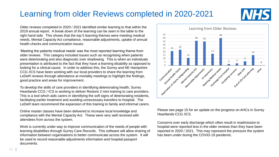## Learning from older Reviews completed in 2020-2021



Older reviews completed in 2020 / 2021 identified similar learning to that within the 2019 annual report. A break down of the learning can be seen in the table to the right hand side. This shows that the top 5 learning themes were meeting medical needs, Mental Capacity Act compliance, reasonable adjustments, uptake of annual health checks and communication issues.

'Meeting the patients medical needs' was the most reported learning theme from older reviews. This category included issues such as recognising when patients were deteriorating and also diagnostic over shadowing. This is when an individuals presentation is attributed to the fact that they have a learning disability as opposed to looking for a clinical cause. In order to address this, the Surrey and NE Hampshire CCG /ICS have been working with our local providers to share the learning from LeDeR reviews through attendance at mortality meetings to highlight the findings, good practice and areas for improvement.

To develop the skills of care providers in identifying deteriorating health, Surrey Heartlands CCG / ICS is working to deliver Restore 2 mini training to care providers. This is a tool which aids carers in identifying the soft signs of deteriorating residents, facilitating earlier treatment and avoiding unnecessary transfers to hospital. The LeDeR team recommend the expansion of this training to family and informal carers.

Online master classes have been delivered to increase local knowledge and compliance with the Mental Capacity Act. These were very well received with attendees from across the system.

Work is currently under way to improve communication of the needs of people with learning disabilities through Surrey Care Records. This software will allow sharing of information between organisations to better communicate across the system. It will be used to record reasonable adjustments information and hospital passport documents.



Please see page 15 for an update on the progress on AHCs in Surrey Heartlands CCG /ICS.

Concerns over early discharge which often result in readmission to hospital were reported less in the older reviews than they have been reported in 2020 / 2021. This may represent the pressure the system has been under during the COVID-19 pandemic.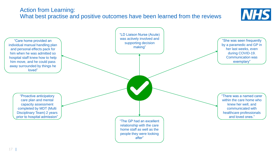### Action from Learning: What best practise and positive outcomes have been learned from the reviews



**NHS**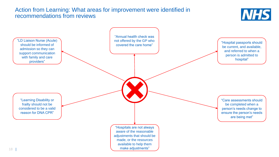### Action from Learning: What areas for improvement were identified in recommendations from reviews



**NHS**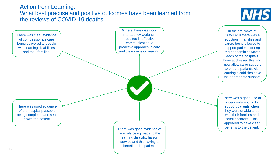### Action from Learning: What best practise and positive outcomes have been learned from the reviews of COVID-19 deaths



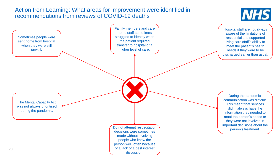### Action from Learning: What areas for improvement were identified in recommendations from reviews of COVID-19 deaths



Hospital staff are not always aware of the limitations of residential and supported living care staff's ability to meet the patient's health needs if they were to be discharged earlier than usual.

The Mental Capacity Act was not always prioritised during the pandemic.

Sometimes people were sent home from hospital when they were still unwell.

> **Do not attempt resuscitation**<br> **example 10**<br> **example 10**<br> **example 10**<br> **example 10**<br> **example 10**<br> **example 10**<br> **example 10**<br> **example 10**<br> **example 10**<br> **example 10**<br> **example 10**<br> **example 10**<br> **example 10**<br> **example** decisions were sometimes made without involving people who knew the person well, often because of a lack of a best interest discussion.

Family members and care home staff sometimes struggled to identify when the patient required transfer to hospital or a higher level of care.

> During the pandemic, communication was difficult. This meant that services didn't always have the information they needed to meet the person's needs or they were not involved in important decisions about the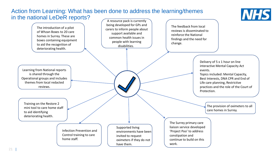#### Action from Learning: What has been done to address the learning/themes in the national LeDeR reports?



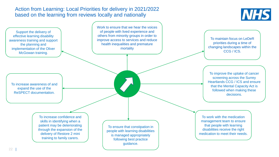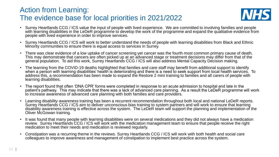### Action from Learning: The evidence base for local priorities in 2021/2022



- Surrey Heartlands CCG / ICS value the input of people with lived experience. We are committed to involving families and people with learning disabilities in the LeDeR programme to develop the work of the programme and expand the qualitative evidence from people with lived experience in order to improve services.
- Surrey Heartlands CCG / ICS will work to better understand the needs of people with learning disabilities from Black and Ethnic Minority communities to ensure there is equal access to services in Surrey.
- There was clear evidence of a low uptake of cancer screening yet cancer was the fourth most common primary cause of death. This may demonstrate that cancers are often picked up at an advanced stage or treatment decisions may differ from that of the general population. To aid this work, Surrey Heartlands CCG / ICS will also address Mental Capacity Decision making.
- The learning from the COVID-19 deaths highlighted that families and care staff may benefit from additional support to identify when a person with learning disabilities' health is deteriorating and there is a need to seek support from local health services. To address this, a recommendation has been made to expand the Restore 2 mini training to families and all carers of people with learning disabilities.
- The report found that often 'DNA CPR' forms were completed in response to an acute admission to hospital and late in the patient's pathway. This may indicate that there was a lack of advanced care planning. As a result the LeDeR programme will work to increase awareness of advanced care planning with both families and care providers.
- Learning disability awareness training has been a recurrent recommendation throughout both local and national LeDeR reports. Surrey Heartlands CCG / ICS aim to deliver unconscious bias training to system partners and will work to ensure that learning disability awareness training is effective across the system. The LeDeR team will support the planning and implementation of the Oliver McGowan training.
- It was found that many people with learning disabilities were on several medications and they did not always have a medication review. Surrey Heartlands CCG / ICS will work with the medication management team to ensure that people receive the right medication to meet their needs and medication is reviewed regularly.
- Constipation was a recurring theme in the reviews. Surrey Heartlands CCG / ICS will work with both health and social care colleagues to improve awareness and management of constipation to implement best practice across the system.